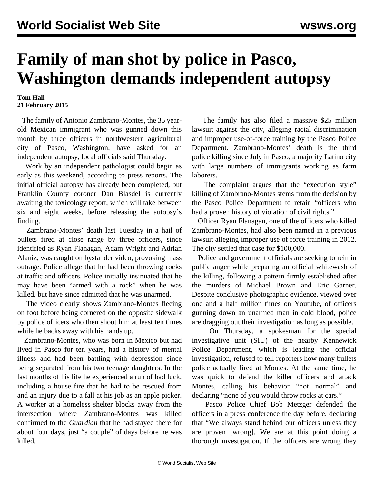## **Family of man shot by police in Pasco, Washington demands independent autopsy**

## **Tom Hall 21 February 2015**

 The family of Antonio Zambrano-Montes, the 35 yearold Mexican immigrant who was gunned down this month by three officers in northwestern agricultural city of Pasco, Washington, have asked for an independent autopsy, local officials said Thursday.

 Work by an independent pathologist could begin as early as this weekend, according to press reports. The initial official autopsy has already been completed, but Franklin County coroner Dan Blasdel is currently awaiting the toxicology report, which will take between six and eight weeks, before releasing the autopsy's finding.

 Zambrano-Montes' death last Tuesday in a hail of bullets fired at close range by three officers, since identified as Ryan Flanagan, Adam Wright and Adrian Alaniz, was caught on bystander video, provoking mass outrage. Police allege that he had been throwing rocks at traffic and officers. Police initially insinuated that he may have been "armed with a rock" when he was killed, but have since admitted that he was unarmed.

 The video clearly shows Zambrano-Montes fleeing on foot before being cornered on the opposite sidewalk by police officers who then shoot him at least ten times while he backs away with his hands up.

 Zambrano-Montes, who was born in Mexico but had lived in Pasco for ten years, had a history of mental illness and had been battling with depression since being separated from his two teenage daughters. In the last months of his life he experienced a run of bad luck, including a house fire that he had to be rescued from and an injury due to a fall at his job as an apple picker. A worker at a homeless shelter blocks away from the intersection where Zambrano-Montes was killed confirmed to the *Guardian* that he had stayed there for about four days, just "a couple" of days before he was killed.

 The family has also filed a massive \$25 million lawsuit against the city, alleging racial discrimination and improper use-of-force training by the Pasco Police Department. Zambrano-Montes' death is the third police killing since July in Pasco, a majority Latino city with large numbers of immigrants working as farm laborers.

 The complaint argues that the "execution style" killing of Zambrano-Montes stems from the decision by the Pasco Police Department to retain "officers who had a proven history of violation of civil rights."

 Officer Ryan Flanagan, one of the officers who killed Zambrano-Montes, had also been named in a previous lawsuit alleging improper use of force training in 2012. The city settled that case for \$100,000.

 Police and government officials are seeking to rein in public anger while preparing an official whitewash of the killing, following a pattern firmly established after the murders of Michael Brown and Eric Garner. Despite conclusive photographic evidence, viewed over one and a half million times on Youtube, of officers gunning down an unarmed man in cold blood, police are dragging out their investigation as long as possible.

 On Thursday, a spokesman for the special investigative unit (SIU) of the nearby Kennewick Police Department, which is leading the official investigation, refused to tell reporters how many bullets police actually fired at Montes. At the same time, he was quick to defend the killer officers and attack Montes, calling his behavior "not normal" and declaring "none of you would throw rocks at cars."

 Pasco Police Chief Bob Metzger defended the officers in a press conference the day before, declaring that "We always stand behind our officers unless they are proven [wrong]. We are at this point doing a thorough investigation. If the officers are wrong they